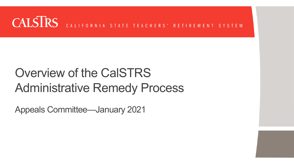#### **CALSIRS** CALIFORNIA STATE TEACHERS' RETIREMENT SYSTEM

# Overview of the CalSTRS Administrative Remedy Process

Appeals Committee—January 2021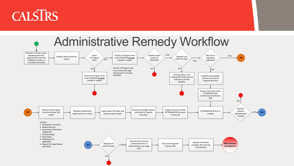# **CALSIRS**

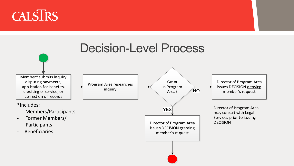Director of Program Area issues DECISION denying member's request

# CALSTRS



Director of Program Area may consult with Legal Services prior to issuing DECISION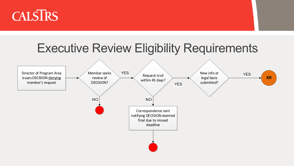

# Executive Review Eligibility Requirements



New info or legal basis submitted? YES **XR**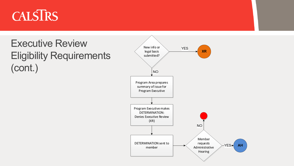# CALSTRS

#### Executive Review Eligibility Requirements (cont.)

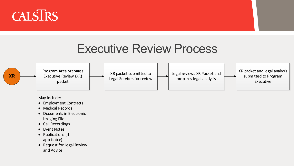May Include:





- Employment Contracts
- Medical Records
- Documents in Electronic Imaging File
- Call Recordings
- Event Notes
- Publications (if applicable)
- Request for Legal Review and Advice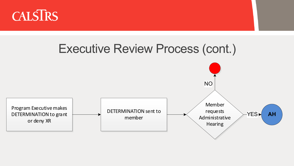

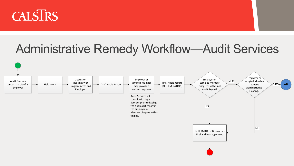

# Administrative Remedy Workflow—Audit Services

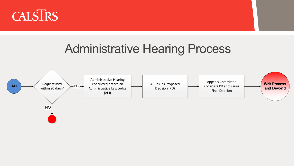

### Administrative Hearing Process





Appeals Committee considers PD and issues Final Decision